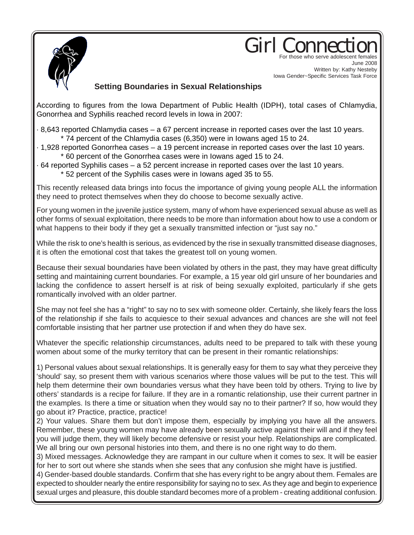

## Girl Conne For those who serve adolescent females

June 2008 Written by: Kathy Nesteby Iowa Gender~Specific Services Task Force

## **Setting Boundaries in Sexual Relationships**

According to figures from the Iowa Department of Public Health (IDPH), total cases of Chlamydia, Gonorrhea and Syphilis reached record levels in Iowa in 2007:

- · 8,643 reported Chlamydia cases a 67 percent increase in reported cases over the last 10 years. \* 74 percent of the Chlamydia cases (6,350) were in Iowans aged 15 to 24.
- · 1,928 reported Gonorrhea cases a 19 percent increase in reported cases over the last 10 years. \* 60 percent of the Gonorrhea cases were in Iowans aged 15 to 24.
- · 64 reported Syphilis cases a 52 percent increase in reported cases over the last 10 years. \* 52 percent of the Syphilis cases were in Iowans aged 35 to 55.

This recently released data brings into focus the importance of giving young people ALL the information they need to protect themselves when they do choose to become sexually active.

For young women in the juvenile justice system, many of whom have experienced sexual abuse as well as other forms of sexual exploitation, there needs to be more than information about how to use a condom or what happens to their body if they get a sexually transmitted infection or "just say no."

While the risk to one's health is serious, as evidenced by the rise in sexually transmitted disease diagnoses, it is often the emotional cost that takes the greatest toll on young women.

Because their sexual boundaries have been violated by others in the past, they may have great difficulty setting and maintaining current boundaries. For example, a 15 year old girl unsure of her boundaries and lacking the confidence to assert herself is at risk of being sexually exploited, particularly if she gets romantically involved with an older partner.

She may not feel she has a "right" to say no to sex with someone older. Certainly, she likely fears the loss of the relationship if she fails to acquiesce to their sexual advances and chances are she will not feel comfortable insisting that her partner use protection if and when they do have sex.

Whatever the specific relationship circumstances, adults need to be prepared to talk with these young women about some of the murky territory that can be present in their romantic relationships:

1) Personal values about sexual relationships. It is generally easy for them to say what they perceive they 'should' say, so present them with various scenarios where those values will be put to the test. This will help them determine their own boundaries versus what they have been told by others. Trying to live by others' standards is a recipe for failure. If they are in a romantic relationship, use their current partner in the examples. Is there a time or situation when they would say no to their partner? If so, how would they go about it? Practice, practice, practice!

2) Your values. Share them but don't impose them, especially by implying you have all the answers. Remember, these young women may have already been sexually active against their will and if they feel you will judge them, they will likely become defensive or resist your help. Relationships are complicated. We all bring our own personal histories into them, and there is no one right way to do them.

3) Mixed messages. Acknowledge they are rampant in our culture when it comes to sex. It will be easier for her to sort out where she stands when she sees that any confusion she might have is justified.

4) Gender-based double standards. Confirm that she has every right to be angry about them. Females are expected to shoulder nearly the entire responsibility for saying no to sex. As they age and begin to experience sexual urges and pleasure, this double standard becomes more of a problem - creating additional confusion.